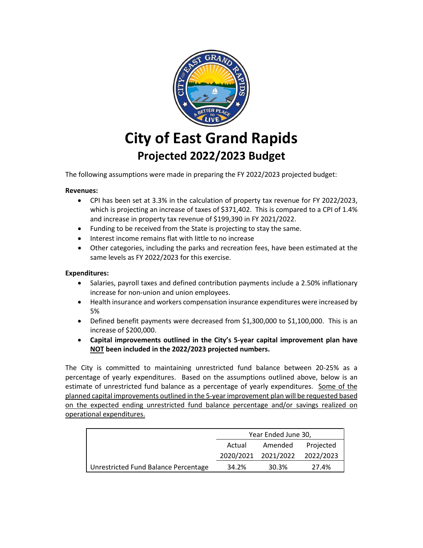

## **City of East Grand Rapids Projected 2022/2023 Budget**

The following assumptions were made in preparing the FY 2022/2023 projected budget:

## **Revenues:**

- CPI has been set at 3.3% in the calculation of property tax revenue for FY 2022/2023, which is projecting an increase of taxes of \$371,402. This is compared to a CPI of 1.4% and increase in property tax revenue of \$199,390 in FY 2021/2022.
- Funding to be received from the State is projecting to stay the same.
- Interest income remains flat with little to no increase
- Other categories, including the parks and recreation fees, have been estimated at the same levels as FY 2022/2023 for this exercise.

## **Expenditures:**

- Salaries, payroll taxes and defined contribution payments include a 2.50% inflationary increase for non-union and union employees.
- Health insurance and workers compensation insurance expenditures were increased by 5%
- Defined benefit payments were decreased from \$1,300,000 to \$1,100,000. This is an increase of \$200,000.
- **Capital improvements outlined in the City's 5-year capital improvement plan have NOT been included in the 2022/2023 projected numbers.**

The City is committed to maintaining unrestricted fund balance between 20-25% as a percentage of yearly expenditures. Based on the assumptions outlined above, below is an estimate of unrestricted fund balance as a percentage of yearly expenditures. Some of the planned capital improvements outlined in the 5-year improvement plan will be requested based on the expected ending unrestricted fund balance percentage and/or savings realized on operational expenditures.

|                                      | Year Ended June 30, |                     |           |  |
|--------------------------------------|---------------------|---------------------|-----------|--|
|                                      | Actual              | Amended             | Projected |  |
|                                      |                     | 2020/2021 2021/2022 | 2022/2023 |  |
| Unrestricted Fund Balance Percentage | 34.2%               | 30.3%               | 27.4%     |  |